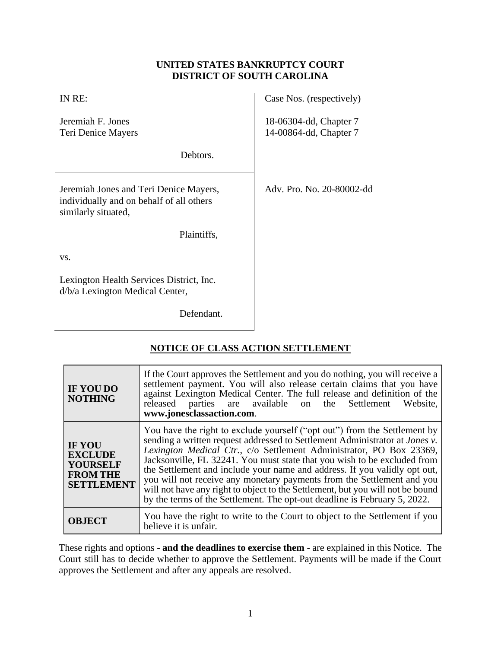### **UNITED STATES BANKRUPTCY COURT DISTRICT OF SOUTH CAROLINA**

| IN RE:                                                                                                    | Case Nos. (respectively)                         |
|-----------------------------------------------------------------------------------------------------------|--------------------------------------------------|
| Jeremiah F. Jones<br>Teri Denice Mayers                                                                   | 18-06304-dd, Chapter 7<br>14-00864-dd, Chapter 7 |
| Debtors.                                                                                                  |                                                  |
| Jeremiah Jones and Teri Denice Mayers,<br>individually and on behalf of all others<br>similarly situated, | Adv. Pro. No. 20-80002-dd                        |
| Plaintiffs,                                                                                               |                                                  |
| VS.                                                                                                       |                                                  |
| Lexington Health Services District, Inc.<br>d/b/a Lexington Medical Center,                               |                                                  |
| Defendant.                                                                                                |                                                  |

# **NOTICE OF CLASS ACTION SETTLEMENT**

| IF YOU DO<br><b>NOTHING</b>                                                                | If the Court approves the Settlement and you do nothing, you will receive a<br>settlement payment. You will also release certain claims that you have<br>against Lexington Medical Center. The full release and definition of the<br>released parties are available on the Settlement<br>Website.<br>www.jonesclassaction.com.                                                                                                                                                                                                                                                                                                            |  |
|--------------------------------------------------------------------------------------------|-------------------------------------------------------------------------------------------------------------------------------------------------------------------------------------------------------------------------------------------------------------------------------------------------------------------------------------------------------------------------------------------------------------------------------------------------------------------------------------------------------------------------------------------------------------------------------------------------------------------------------------------|--|
| <b>IF YOU</b><br><b>EXCLUDE</b><br><b>YOURSELF</b><br><b>FROM THE</b><br><b>SETTLEMENT</b> | You have the right to exclude yourself ("opt out") from the Settlement by<br>sending a written request addressed to Settlement Administrator at <i>Jones v</i> .<br>Lexington Medical Ctr., c/o Settlement Administrator, PO Box 23369,<br>Jacksonville, FL 32241. You must state that you wish to be excluded from<br>the Settlement and include your name and address. If you validly opt out,<br>you will not receive any monetary payments from the Settlement and you<br>will not have any right to object to the Settlement, but you will not be bound<br>by the terms of the Settlement. The opt-out deadline is February 5, 2022. |  |
| <b>OBJECT</b>                                                                              | You have the right to write to the Court to object to the Settlement if you<br>believe it is unfair.                                                                                                                                                                                                                                                                                                                                                                                                                                                                                                                                      |  |

These rights and options - **and the deadlines to exercise them** - are explained in this Notice. The Court still has to decide whether to approve the Settlement. Payments will be made if the Court approves the Settlement and after any appeals are resolved.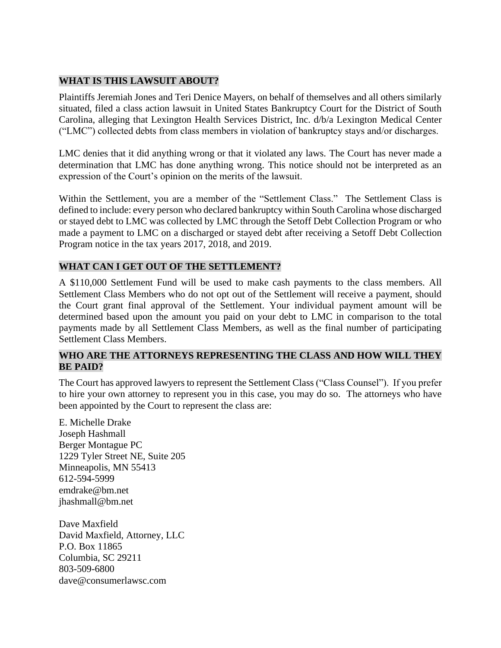#### **WHAT IS THIS LAWSUIT ABOUT?**

Plaintiffs Jeremiah Jones and Teri Denice Mayers, on behalf of themselves and all others similarly situated, filed a class action lawsuit in United States Bankruptcy Court for the District of South Carolina, alleging that Lexington Health Services District, Inc. d/b/a Lexington Medical Center ("LMC") collected debts from class members in violation of bankruptcy stays and/or discharges.

LMC denies that it did anything wrong or that it violated any laws. The Court has never made a determination that LMC has done anything wrong. This notice should not be interpreted as an expression of the Court's opinion on the merits of the lawsuit.

Within the Settlement, you are a member of the "Settlement Class." The Settlement Class is defined to include: every person who declared bankruptcy within South Carolina whose discharged or stayed debt to LMC was collected by LMC through the Setoff Debt Collection Program or who made a payment to LMC on a discharged or stayed debt after receiving a Setoff Debt Collection Program notice in the tax years 2017, 2018, and 2019.

#### **WHAT CAN I GET OUT OF THE SETTLEMENT?**

A \$110,000 Settlement Fund will be used to make cash payments to the class members. All Settlement Class Members who do not opt out of the Settlement will receive a payment, should the Court grant final approval of the Settlement. Your individual payment amount will be determined based upon the amount you paid on your debt to LMC in comparison to the total payments made by all Settlement Class Members, as well as the final number of participating Settlement Class Members.

#### **WHO ARE THE ATTORNEYS REPRESENTING THE CLASS AND HOW WILL THEY BE PAID?**

The Court has approved lawyers to represent the Settlement Class ("Class Counsel"). If you prefer to hire your own attorney to represent you in this case, you may do so. The attorneys who have been appointed by the Court to represent the class are:

E. Michelle Drake Joseph Hashmall Berger Montague PC 1229 Tyler Street NE, Suite 205 Minneapolis, MN 55413 612-594-5999 [emdrake@bm.net](mailto:emdrake@bm.net) jhashmall@bm.net

Dave Maxfield David Maxfield, Attorney, LLC P.O. Box 11865 Columbia, SC 29211 803-509-6800 dave@consumerlawsc.com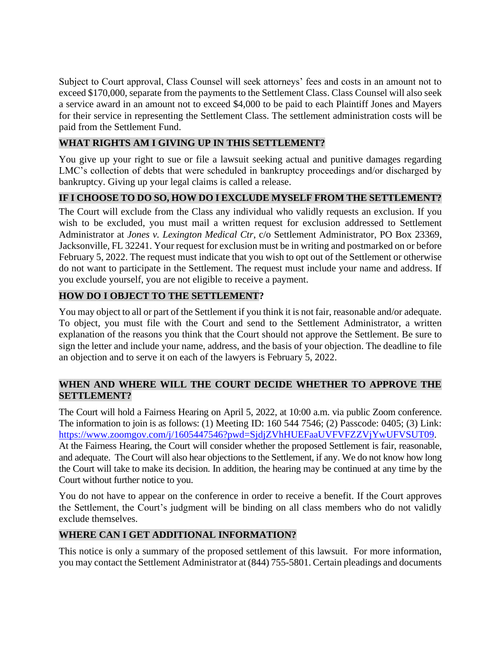Subject to Court approval, Class Counsel will seek attorneys' fees and costs in an amount not to exceed \$170,000, separate from the payments to the Settlement Class. Class Counsel will also seek a service award in an amount not to exceed \$4,000 to be paid to each Plaintiff Jones and Mayers for their service in representing the Settlement Class. The settlement administration costs will be paid from the Settlement Fund.

### **WHAT RIGHTS AM I GIVING UP IN THIS SETTLEMENT?**

You give up your right to sue or file a lawsuit seeking actual and punitive damages regarding LMC's collection of debts that were scheduled in bankruptcy proceedings and/or discharged by bankruptcy. Giving up your legal claims is called a release.

## **IF I CHOOSE TO DO SO, HOW DO I EXCLUDE MYSELF FROM THE SETTLEMENT?**

The Court will exclude from the Class any individual who validly requests an exclusion. If you wish to be excluded, you must mail a written request for exclusion addressed to Settlement Administrator at *Jones v. Lexington Medical Ctr*, c/o Settlement Administrator, PO Box 23369, Jacksonville, FL 32241. Your request for exclusion must be in writing and postmarked on or before February 5, 2022. The request must indicate that you wish to opt out of the Settlement or otherwise do not want to participate in the Settlement. The request must include your name and address. If you exclude yourself, you are not eligible to receive a payment.

### **HOW DO I OBJECT TO THE SETTLEMENT?**

You may object to all or part of the Settlement if you think it is not fair, reasonable and/or adequate. To object, you must file with the Court and send to the Settlement Administrator, a written explanation of the reasons you think that the Court should not approve the Settlement. Be sure to sign the letter and include your name, address, and the basis of your objection. The deadline to file an objection and to serve it on each of the lawyers is February 5, 2022.

### **WHEN AND WHERE WILL THE COURT DECIDE WHETHER TO APPROVE THE SETTLEMENT?**

The Court will hold a Fairness Hearing on April 5, 2022, at 10:00 a.m. via public Zoom conference. The information to join is as follows: (1) Meeting ID: 160 544 7546; (2) Passcode: 0405; (3) Link: [https://www.zoomgov.com/j/1605447546?pwd=SjdjZVhHUEFaaUVFVFZZVjYwUFVSUT09.](https://www.zoomgov.com/j/1605447546?pwd=SjdjZVhHUEFaaUVFVFZZVjYwUFVSUT09) At the Fairness Hearing, the Court will consider whether the proposed Settlement is fair, reasonable, and adequate. The Court will also hear objections to the Settlement, if any. We do not know how long the Court will take to make its decision. In addition, the hearing may be continued at any time by the Court without further notice to you.

You do not have to appear on the conference in order to receive a benefit. If the Court approves the Settlement, the Court's judgment will be binding on all class members who do not validly exclude themselves.

#### **WHERE CAN I GET ADDITIONAL INFORMATION?**

This notice is only a summary of the proposed settlement of this lawsuit. For more information, you may contact the Settlement Administrator at (844) 755-5801. Certain pleadings and documents